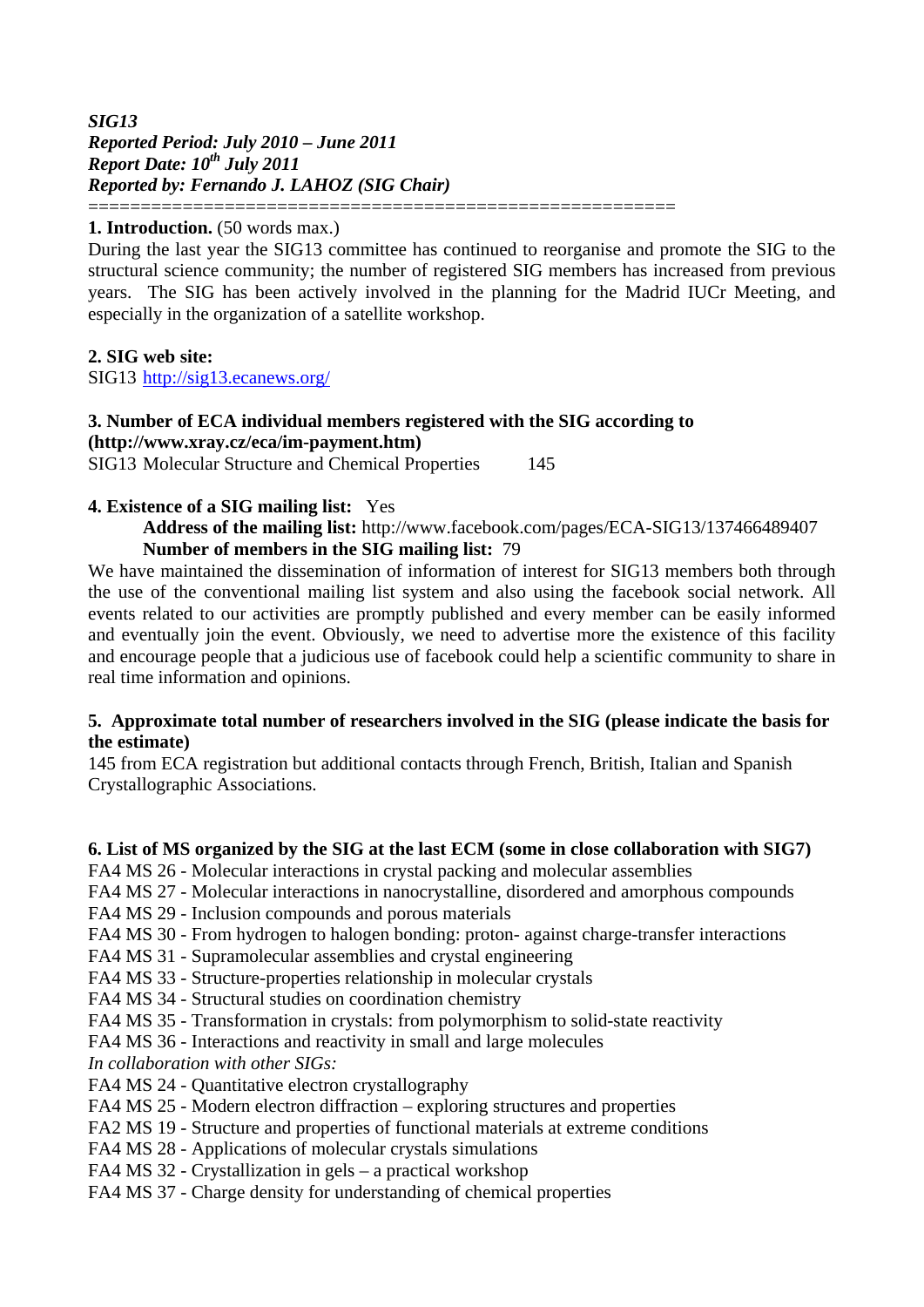#### *SIG13 Reported Period: July 2010 – June 2011 Report Date:*  $10^{th}$  *July 2011 Reported by: Fernando J. LAHOZ (SIG Chair)* ========================================================

#### 1. Introduction.  $(50 \text{ words max.})$

During the last year the SIG13 committee has continued to reorganise and promote the SIG to the structural science community; the number of registered SIG members has increased from previous years. The SIG has been actively involved in the planning for the Madrid IUCr Meeting, and especially in the organization of a satellite workshop.

#### **2. SIG web site:**

SIG13 http://sig13.ecanews.org/

# **3. Number of ECA individual members registered with the SIG according to (http://www.xray.cz/eca/im-payment.htm)**

SIG13 Molecular Structure and Chemical Properties 145

## **4. Existence of a SIG mailing list:** Yes

 **Address of the mailing list:** http://www.facebook.com/pages/ECA-SIG13/137466489407  **Number of members in the SIG mailing list:** 79

We have maintained the dissemination of information of interest for SIG13 members both through the use of the conventional mailing list system and also using the facebook social network. All events related to our activities are promptly published and every member can be easily informed and eventually join the event. Obviously, we need to advertise more the existence of this facility and encourage people that a judicious use of facebook could help a scientific community to share in real time information and opinions.

#### **5. Approximate total number of researchers involved in the SIG (please indicate the basis for the estimate)**

145 from ECA registration but additional contacts through French, British, Italian and Spanish Crystallographic Associations.

## **6. List of MS organized by the SIG at the last ECM (some in close collaboration with SIG7)**

- FA4 MS 26 Molecular interactions in crystal packing and molecular assemblies
- FA4 MS 27 Molecular interactions in nanocrystalline, disordered and amorphous compounds
- FA4 MS 29 Inclusion compounds and porous materials
- FA4 MS 30 From hydrogen to halogen bonding: proton- against charge-transfer interactions
- FA4 MS 31 Supramolecular assemblies and crystal engineering
- FA4 MS 33 Structure-properties relationship in molecular crystals
- FA4 MS 34 Structural studies on coordination chemistry
- FA4 MS 35 Transformation in crystals: from polymorphism to solid-state reactivity
- FA4 MS 36 Interactions and reactivity in small and large molecules

*In collaboration with other SIGs:* 

- FA4 MS 24 Quantitative electron crystallography
- FA4 MS 25 Modern electron diffraction exploring structures and properties
- FA2 MS 19 Structure and properties of functional materials at extreme conditions
- FA4 MS 28 Applications of molecular crystals simulations
- FA4 MS 32 Crystallization in gels a practical workshop
- FA4 MS 37 Charge density for understanding of chemical properties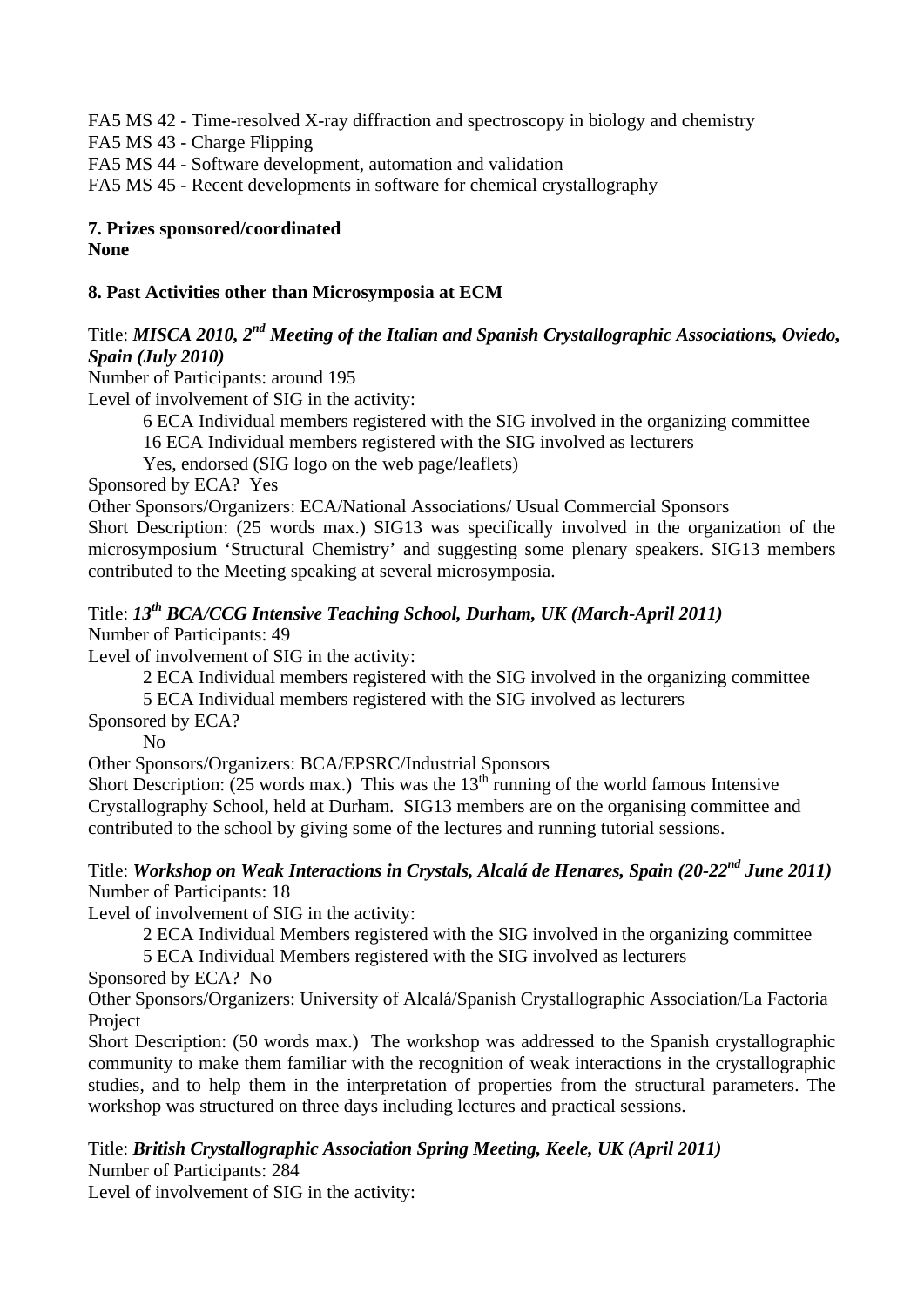FA5 MS 42 - Time-resolved X-ray diffraction and spectroscopy in biology and chemistry FA5 MS 43 - Charge Flipping FA5 MS 44 - Software development, automation and validation FA5 MS 45 - Recent developments in software for chemical crystallography

# **7. Prizes sponsored/coordinated**

**None** 

# **8. Past Activities other than Microsymposia at ECM**

# Title: *MISCA 2010, 2nd Meeting of the Italian and Spanish Crystallographic Associations, Oviedo, Spain (July 2010)*

Number of Participants: around 195

Level of involvement of SIG in the activity:

 6 ECA Individual members registered with the SIG involved in the organizing committee 16 ECA Individual members registered with the SIG involved as lecturers

Yes, endorsed (SIG logo on the web page/leaflets)

Sponsored by ECA? Yes

Other Sponsors/Organizers: ECA/National Associations/ Usual Commercial Sponsors

Short Description: (25 words max.) SIG13 was specifically involved in the organization of the microsymposium 'Structural Chemistry' and suggesting some plenary speakers. SIG13 members contributed to the Meeting speaking at several microsymposia.

# Title: *13th BCA/CCG Intensive Teaching School, Durham, UK (March-April 2011)*

Number of Participants: 49

Level of involvement of SIG in the activity:

2 ECA Individual members registered with the SIG involved in the organizing committee

5 ECA Individual members registered with the SIG involved as lecturers

Sponsored by ECA?

No

Other Sponsors/Organizers: BCA/EPSRC/Industrial Sponsors

Short Description: (25 words max.) This was the 13<sup>th</sup> running of the world famous Intensive Crystallography School, held at Durham. SIG13 members are on the organising committee and contributed to the school by giving some of the lectures and running tutorial sessions.

## Title: *Workshop on Weak Interactions in Crystals, Alcalá de Henares, Spain (20-22<sup>nd</sup> June 2011)* Number of Participants: 18

Level of involvement of SIG in the activity:

2 ECA Individual Members registered with the SIG involved in the organizing committee

5 ECA Individual Members registered with the SIG involved as lecturers

Sponsored by ECA? No

Other Sponsors/Organizers: University of Alcalá/Spanish Crystallographic Association/La Factoria Project

Short Description: (50 words max.) The workshop was addressed to the Spanish crystallographic community to make them familiar with the recognition of weak interactions in the crystallographic studies, and to help them in the interpretation of properties from the structural parameters. The workshop was structured on three days including lectures and practical sessions.

Title: *British Crystallographic Association Spring Meeting, Keele, UK (April 2011)* Number of Participants: 284

Level of involvement of SIG in the activity: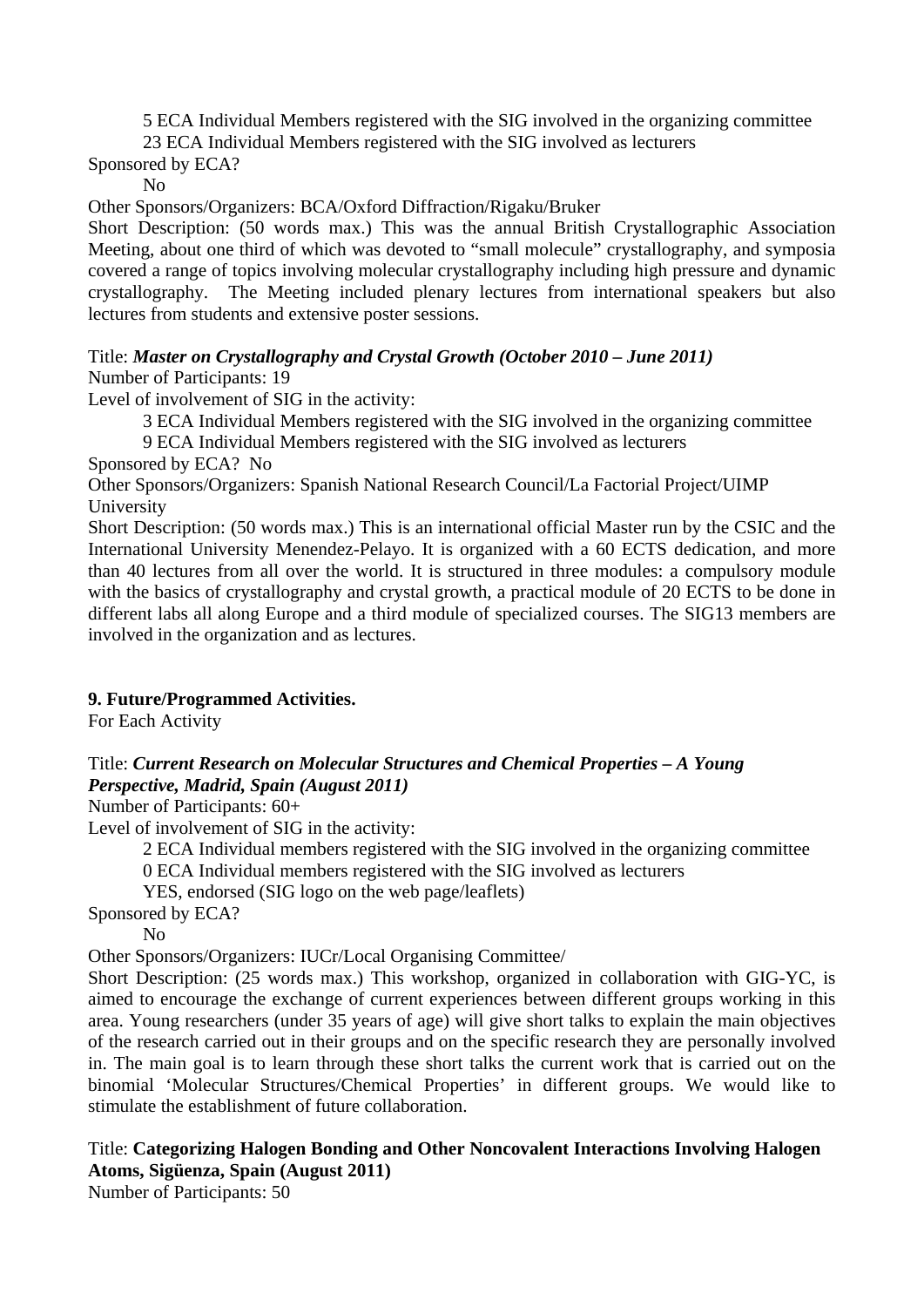5 ECA Individual Members registered with the SIG involved in the organizing committee

23 ECA Individual Members registered with the SIG involved as lecturers

Sponsored by ECA?

No

Other Sponsors/Organizers: BCA/Oxford Diffraction/Rigaku/Bruker

Short Description: (50 words max.) This was the annual British Crystallographic Association Meeting, about one third of which was devoted to "small molecule" crystallography, and symposia covered a range of topics involving molecular crystallography including high pressure and dynamic crystallography. The Meeting included plenary lectures from international speakers but also lectures from students and extensive poster sessions.

#### Title: *Master on Crystallography and Crystal Growth (October 2010 – June 2011)* Number of Participants: 19

Level of involvement of SIG in the activity:

3 ECA Individual Members registered with the SIG involved in the organizing committee

9 ECA Individual Members registered with the SIG involved as lecturers

Sponsored by ECA? No

Other Sponsors/Organizers: Spanish National Research Council/La Factorial Project/UIMP University

Short Description: (50 words max.) This is an international official Master run by the CSIC and the International University Menendez-Pelayo. It is organized with a 60 ECTS dedication, and more than 40 lectures from all over the world. It is structured in three modules: a compulsory module with the basics of crystallography and crystal growth, a practical module of 20 ECTS to be done in different labs all along Europe and a third module of specialized courses. The SIG13 members are involved in the organization and as lectures.

# **9. Future/Programmed Activities.**

For Each Activity

## Title: *Current Research on Molecular Structures and Chemical Properties – A Young Perspective, Madrid, Spain (August 2011)*

Number of Participants: 60+

Level of involvement of SIG in the activity:

2 ECA Individual members registered with the SIG involved in the organizing committee

0 ECA Individual members registered with the SIG involved as lecturers

YES, endorsed (SIG logo on the web page/leaflets)

Sponsored by ECA?

No

Other Sponsors/Organizers: IUCr/Local Organising Committee/

Short Description: (25 words max.) This workshop, organized in collaboration with GIG-YC, is aimed to encourage the exchange of current experiences between different groups working in this area. Young researchers (under 35 years of age) will give short talks to explain the main objectives of the research carried out in their groups and on the specific research they are personally involved in. The main goal is to learn through these short talks the current work that is carried out on the binomial 'Molecular Structures/Chemical Properties' in different groups. We would like to stimulate the establishment of future collaboration.

Title: **Categorizing Halogen Bonding and Other Noncovalent Interactions Involving Halogen Atoms, Sigüenza, Spain (August 2011)**  Number of Participants: 50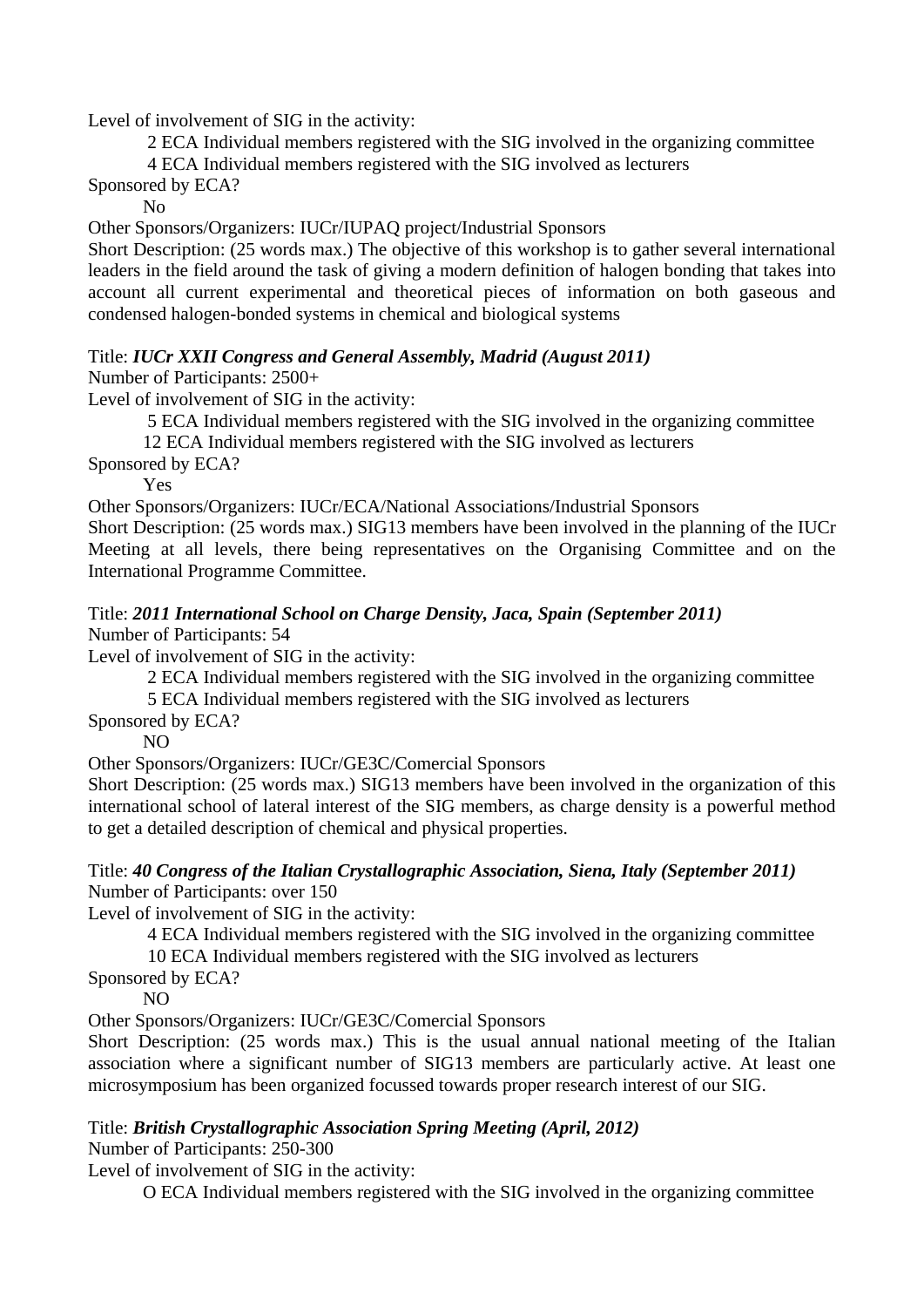Level of involvement of SIG in the activity:

 2 ECA Individual members registered with the SIG involved in the organizing committee 4 ECA Individual members registered with the SIG involved as lecturers

Sponsored by ECA?

#### No

Other Sponsors/Organizers: IUCr/IUPAQ project/Industrial Sponsors

Short Description: (25 words max.) The objective of this workshop is to gather several international leaders in the field around the task of giving a modern definition of halogen bonding that takes into account all current experimental and theoretical pieces of information on both gaseous and condensed halogen-bonded systems in chemical and biological systems

## Title: *IUCr XXII Congress and General Assembly, Madrid (August 2011)*

Number of Participants: 2500+

Level of involvement of SIG in the activity:

5 ECA Individual members registered with the SIG involved in the organizing committee

12 ECA Individual members registered with the SIG involved as lecturers

Sponsored by ECA?

Yes

Other Sponsors/Organizers: IUCr/ECA/National Associations/Industrial Sponsors

Short Description: (25 words max.) SIG13 members have been involved in the planning of the IUCr Meeting at all levels, there being representatives on the Organising Committee and on the International Programme Committee.

## Title: *2011 International School on Charge Density, Jaca, Spain (September 2011)*

Number of Participants: 54

Level of involvement of SIG in the activity:

2 ECA Individual members registered with the SIG involved in the organizing committee

5 ECA Individual members registered with the SIG involved as lecturers

Sponsored by ECA?

NO

Other Sponsors/Organizers: IUCr/GE3C/Comercial Sponsors

Short Description: (25 words max.) SIG13 members have been involved in the organization of this international school of lateral interest of the SIG members, as charge density is a powerful method to get a detailed description of chemical and physical properties.

#### Title: *40 Congress of the Italian Crystallographic Association, Siena, Italy (September 2011)*  Number of Participants: over 150

Level of involvement of SIG in the activity:

 4 ECA Individual members registered with the SIG involved in the organizing committee 10 ECA Individual members registered with the SIG involved as lecturers

Sponsored by ECA?

NO

Other Sponsors/Organizers: IUCr/GE3C/Comercial Sponsors

Short Description: (25 words max.) This is the usual annual national meeting of the Italian association where a significant number of SIG13 members are particularly active. At least one microsymposium has been organized focussed towards proper research interest of our SIG.

## Title: *British Crystallographic Association Spring Meeting (April, 2012)*

Number of Participants: 250-300

Level of involvement of SIG in the activity:

O ECA Individual members registered with the SIG involved in the organizing committee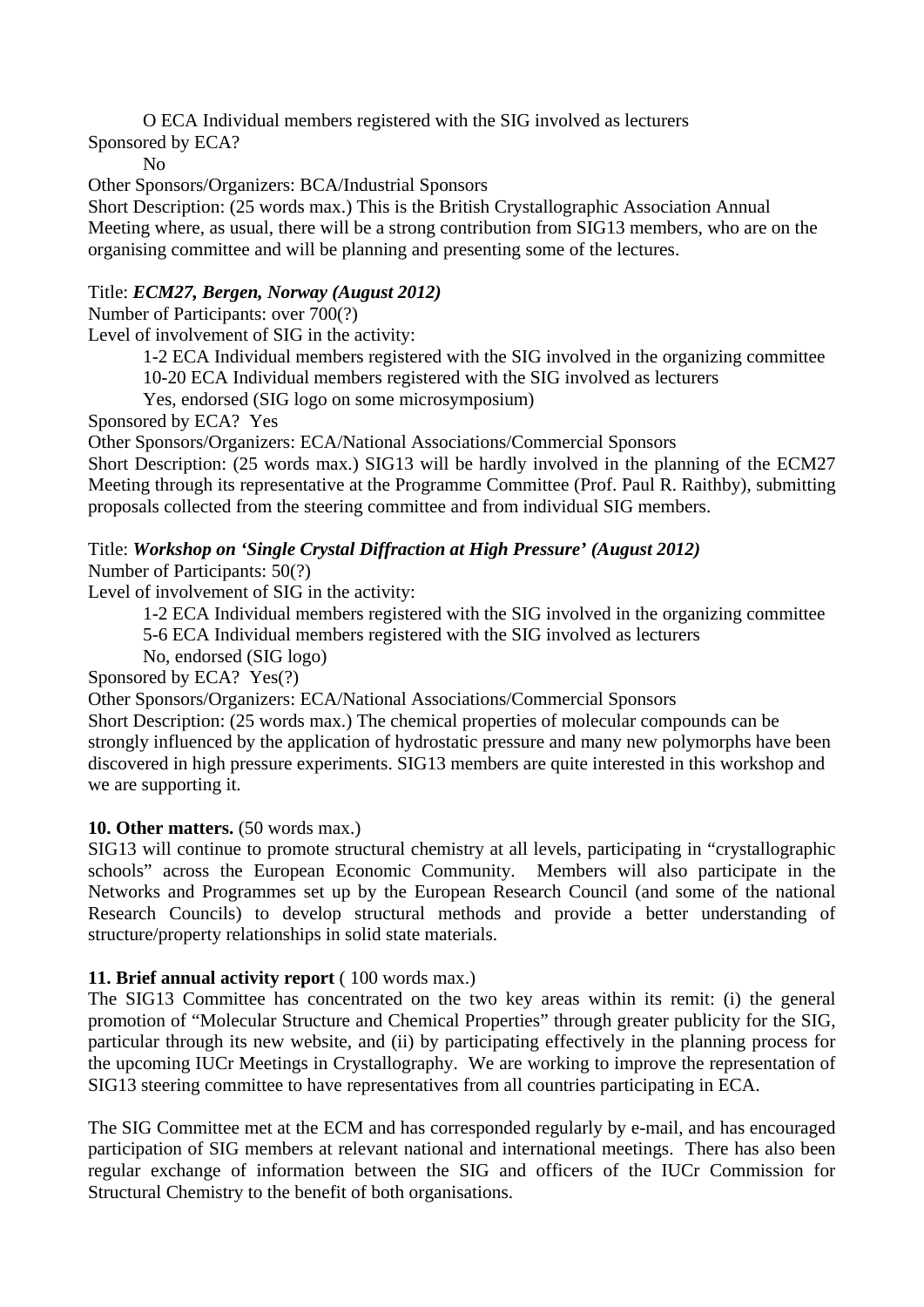O ECA Individual members registered with the SIG involved as lecturers

Sponsored by ECA?

No

Other Sponsors/Organizers: BCA/Industrial Sponsors

Short Description: (25 words max.) This is the British Crystallographic Association Annual Meeting where, as usual, there will be a strong contribution from SIG13 members, who are on the organising committee and will be planning and presenting some of the lectures.

# Title: *ECM27, Bergen, Norway (August 2012)*

Number of Participants: over 700(?)

Level of involvement of SIG in the activity:

1-2 ECA Individual members registered with the SIG involved in the organizing committee

10-20 ECA Individual members registered with the SIG involved as lecturers

Yes, endorsed (SIG logo on some microsymposium)

Sponsored by ECA? Yes

Other Sponsors/Organizers: ECA/National Associations/Commercial Sponsors

Short Description: (25 words max.) SIG13 will be hardly involved in the planning of the ECM27 Meeting through its representative at the Programme Committee (Prof. Paul R. Raithby), submitting proposals collected from the steering committee and from individual SIG members.

# Title: *Workshop on 'Single Crystal Diffraction at High Pressure' (August 2012)*

Number of Participants: 50(?)

Level of involvement of SIG in the activity:

1-2 ECA Individual members registered with the SIG involved in the organizing committee

5-6 ECA Individual members registered with the SIG involved as lecturers

No, endorsed (SIG logo)

Sponsored by ECA? Yes(?)

Other Sponsors/Organizers: ECA/National Associations/Commercial Sponsors

Short Description: (25 words max.) The chemical properties of molecular compounds can be strongly influenced by the application of hydrostatic pressure and many new polymorphs have been discovered in high pressure experiments. SIG13 members are quite interested in this workshop and we are supporting it.

# **10. Other matters.** (50 words max.)

SIG13 will continue to promote structural chemistry at all levels, participating in "crystallographic schools" across the European Economic Community. Members will also participate in the Networks and Programmes set up by the European Research Council (and some of the national Research Councils) to develop structural methods and provide a better understanding of structure/property relationships in solid state materials.

# **11. Brief annual activity report** ( 100 words max.)

The SIG13 Committee has concentrated on the two key areas within its remit: (i) the general promotion of "Molecular Structure and Chemical Properties" through greater publicity for the SIG, particular through its new website, and (ii) by participating effectively in the planning process for the upcoming IUCr Meetings in Crystallography. We are working to improve the representation of SIG13 steering committee to have representatives from all countries participating in ECA.

The SIG Committee met at the ECM and has corresponded regularly by e-mail, and has encouraged participation of SIG members at relevant national and international meetings. There has also been regular exchange of information between the SIG and officers of the IUCr Commission for Structural Chemistry to the benefit of both organisations.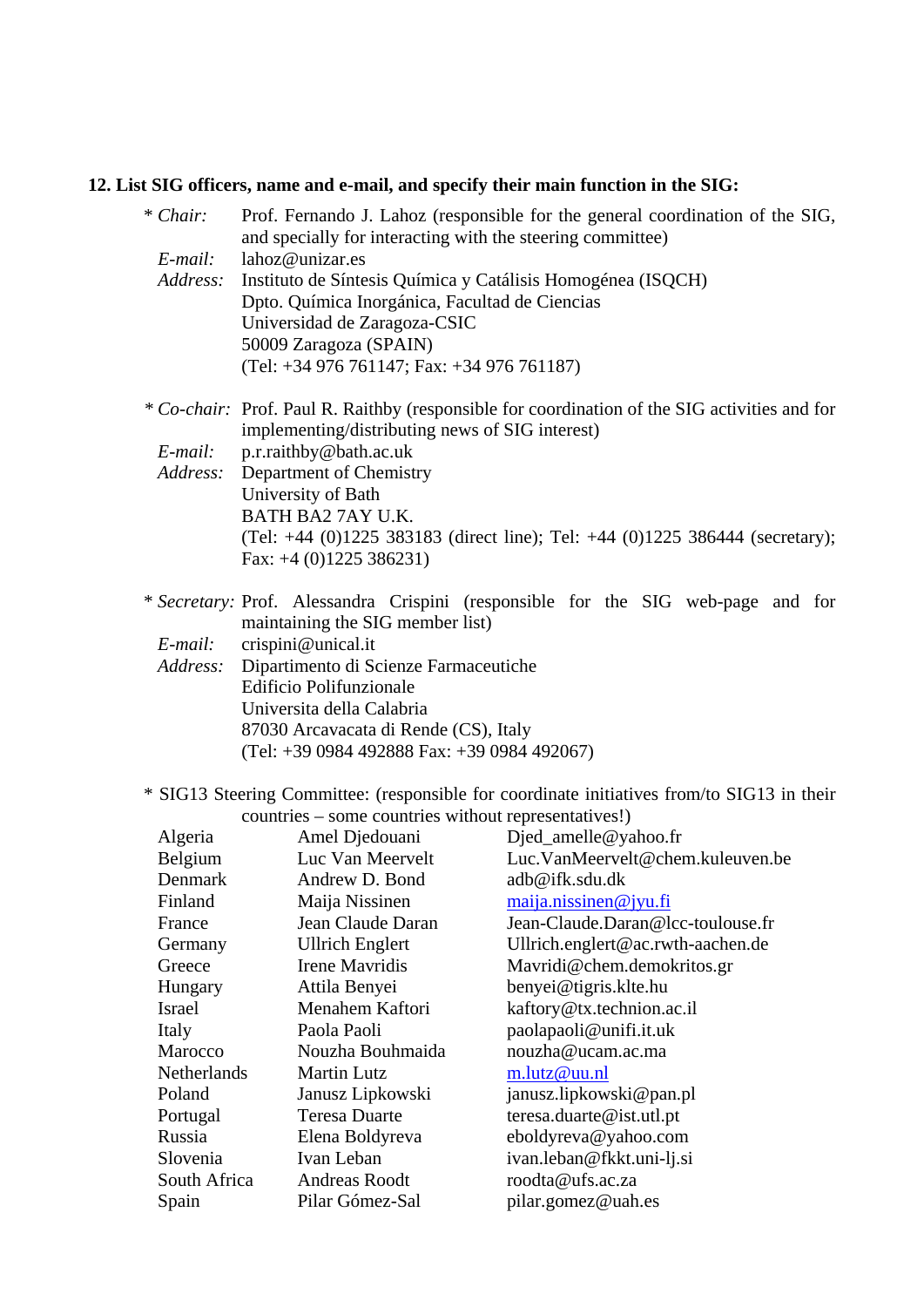## **12. List SIG officers, name and e-mail, and specify their main function in the SIG:**

\* *Chair:* Prof. Fernando J. Lahoz (responsible for the general coordination of the SIG,

|  | $E$ -mail:<br>Address: |  | lahoz@unizar.es<br>Dpto. Química Inorgánica, Facultad de Ciencias<br>Universidad de Zaragoza-CSIC<br>50009 Zaragoza (SPAIN)<br>(Tel: +34 976 761147; Fax: +34 976 761187)    | and specially for interacting with the steering committee)<br>Instituto de Síntesis Química y Catálisis Homogénea (ISQCH)                                                     |
|--|------------------------|--|------------------------------------------------------------------------------------------------------------------------------------------------------------------------------|-------------------------------------------------------------------------------------------------------------------------------------------------------------------------------|
|  | E-mail:<br>Address:    |  | implementing/distributing news of SIG interest)<br>p.r.raithby@bath.ac.uk<br>Department of Chemistry<br>University of Bath<br>BATH BA2 7AY U.K.<br>Fax: $+4$ (0)1225 386231) | * Co-chair: Prof. Paul R. Raithby (responsible for coordination of the SIG activities and for<br>(Tel: +44 (0)1225 383183 (direct line); Tel: +44 (0)1225 386444 (secretary); |
|  | E-mail:<br>Address:    |  | maintaining the SIG member list)<br>crispini@unical.it<br>Dipartimento di Scienze Farmaceutiche<br><b>Edificio Polifunzionale</b><br>Universita della Calabria               | * Secretary: Prof. Alessandra Crispini (responsible for the SIG web-page and for                                                                                              |
|  |                        |  | 87030 Arcavacata di Rende (CS), Italy<br>$(Tel: +39 0984 492888 \text{ Fax}: +39 0984 492067)$                                                                               | * SIG13 Steering Committee: (responsible for coordinate initiatives from/to SIG13 in their                                                                                    |
|  | Algeria                |  | countries – some countries without representatives!)<br>Amel Djedouani                                                                                                       | Djed_amelle@yahoo.fr                                                                                                                                                          |
|  | Belgium                |  | Luc Van Meervelt                                                                                                                                                             | Luc.VanMeervelt@chem.kuleuven.be                                                                                                                                              |
|  | Denmark                |  | Andrew D. Bond                                                                                                                                                               | adb@ifk.sdu.dk                                                                                                                                                                |
|  | Finland                |  | Maija Nissinen                                                                                                                                                               | maija.nissinen@jyu.fi                                                                                                                                                         |
|  | France                 |  | Jean Claude Daran                                                                                                                                                            | Jean-Claude Daran@lcc-toulouse fr                                                                                                                                             |
|  | Germany                |  | <b>Ullrich Englert</b>                                                                                                                                                       | Ullrich.englert@ac.rwth-aachen.de                                                                                                                                             |
|  | Greece                 |  | Irene Mavridis                                                                                                                                                               | Mavridi@chem.demokritos.gr                                                                                                                                                    |
|  | Hungary                |  | Attila Benyei                                                                                                                                                                | benyei@tigris.klte.hu                                                                                                                                                         |
|  | Israel                 |  | Menahem Kaftori                                                                                                                                                              | kaftory@tx.technion.ac.il                                                                                                                                                     |
|  | Italy                  |  | Paola Paoli                                                                                                                                                                  | paolapaoli@unifi.it.uk                                                                                                                                                        |
|  | Marocco                |  | Nouzha Bouhmaida                                                                                                                                                             | nouzha@ucam.ac.ma                                                                                                                                                             |
|  | Netherlands<br>Poland  |  | <b>Martin Lutz</b>                                                                                                                                                           | m.lutz@uu.nl                                                                                                                                                                  |
|  |                        |  | Janusz Lipkowski                                                                                                                                                             | janusz.lipkowski@pan.pl                                                                                                                                                       |
|  | Portugal               |  | <b>Teresa Duarte</b>                                                                                                                                                         | teresa.duarte@ist.utl.pt                                                                                                                                                      |
|  | Russia                 |  | Elena Boldyreva                                                                                                                                                              | eboldyreva@yahoo.com                                                                                                                                                          |
|  | Slovenia               |  | Ivan Leban                                                                                                                                                                   | ivan.leban@fkkt.uni-lj.si                                                                                                                                                     |
|  | South Africa           |  | <b>Andreas Roodt</b>                                                                                                                                                         | roodta@ufs.ac.za                                                                                                                                                              |
|  | Spain                  |  | Pilar Gómez-Sal                                                                                                                                                              | pilar.gomez@uah.es                                                                                                                                                            |